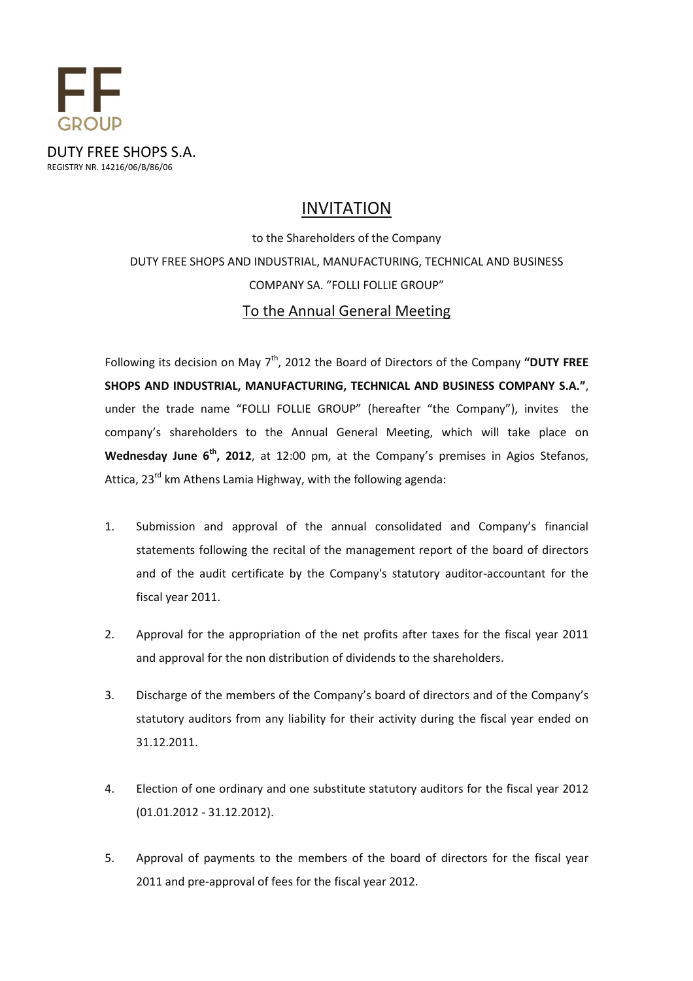

# INVITATION

to the Shareholders of the Company DUTY FREE SHOPS AND INDUSTRIAL, MANUFACTURING, TECHNICAL AND BUSINESS COMPANY SA. "FOLLI FOLLIE GROUP" To the Annual General Meeting

Following its decision on May  $7<sup>th</sup>$ , 2012 the Board of Directors of the Company "DUTY FREE SHOPS AND INDUSTRIAL, MANUFACTURING, TECHNICAL AND BUSINESS COMPANY S.A.", under the trade name "FOLLI FOLLIE GROUP" (hereafter "the Company"), invites the company's shareholders to the Annual General Meeting, which will take place on Wednesday June  $6<sup>th</sup>$ , 2012, at 12:00 pm, at the Company's premises in Agios Stefanos, Attica,  $23^{rd}$  km Athens Lamia Highway, with the following agenda:

- 1. Submission and approval of the annual consolidated and Company's financial statements following the recital of the management report of the board of directors and of the audit certificate by the Company's statutory auditor-accountant for the fiscal year 2011.
- 2. Approval for the appropriation of the net profits after taxes for the fiscal year 2011 and approval for the non distribution of dividends to the shareholders.
- 3. Discharge of the members of the Company's board of directors and of the Company's statutory auditors from any liability for their activity during the fiscal year ended on 31.12.2011.
- 4. Election of one ordinary and one substitute statutory auditors for the fiscal year 2012 (01.01.2012 - 31.12.2012).
- 5. Approval of payments to the members of the board of directors for the fiscal year 2011 and pre-approval of fees for the fiscal year 2012.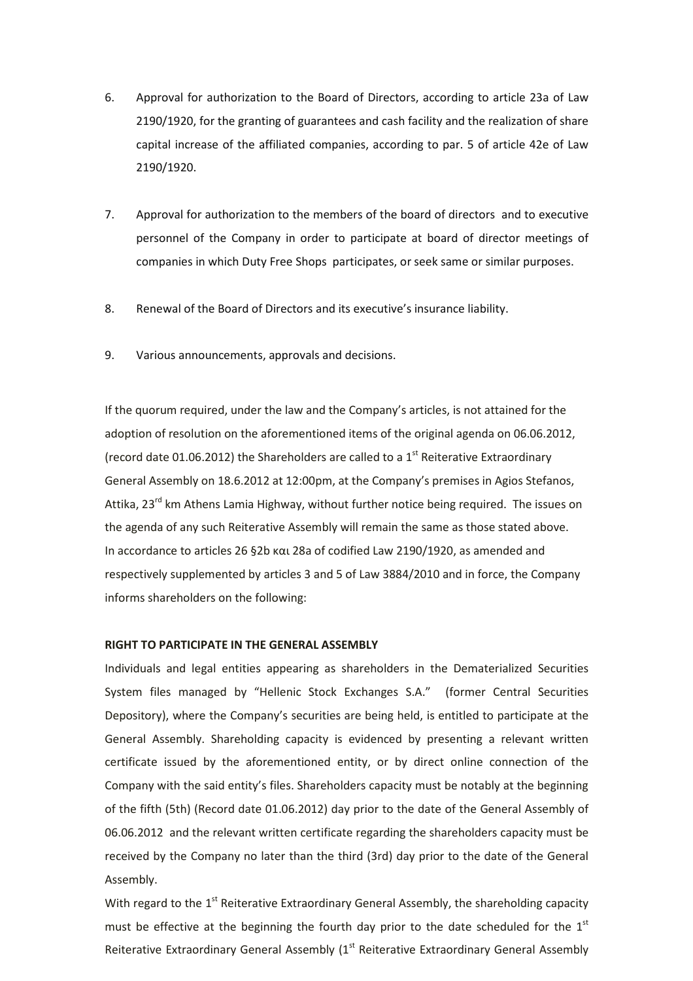- 6. Approval for authorization to the Board of Directors, according to article 23a of Law 2190/1920, for the granting of guarantees and cash facility and the realization of share capital increase of the affiliated companies, according to par. 5 of article 42e of Law 2190/1920.
- 7. Approval for authorization to the members of the board of directors and to executive personnel of the Company in order to participate at board of director meetings of companies in which Duty Free Shops participates, or seek same or similar purposes.
- 8. Renewal of the Board of Directors and its executive's insurance liability.
- 9. Various announcements, approvals and decisions.

If the quorum required, under the law and the Company's articles, is not attained for the adoption of resolution on the aforementioned items of the original agenda on 06.06.2012, (record date 01.06.2012) the Shareholders are called to a  $1<sup>st</sup>$  Reiterative Extraordinary General Assembly on 18.6.2012 at 12:00pm, at the Company's premises in Agios Stefanos, Attika, 23<sup>rd</sup> km Athens Lamia Highway, without further notice being required. The issues on the agenda of any such Reiterative Assembly will remain the same as those stated above. In accordance to articles 26 §2b και 28a of codified Law 2190/1920, as amended and respectively supplemented by articles 3 and 5 of Law 3884/2010 and in force, the Company informs shareholders on the following:

## RIGHT TO PARTICIPATE IN THE GENERAL ASSEMBLY

Individuals and legal entities appearing as shareholders in the Dematerialized Securities System files managed by "Hellenic Stock Exchanges S.A." (former Central Securities Depository), where the Company's securities are being held, is entitled to participate at the General Assembly. Shareholding capacity is evidenced by presenting a relevant written certificate issued by the aforementioned entity, or by direct online connection of the Company with the said entity's files. Shareholders capacity must be notably at the beginning of the fifth (5th) (Record date 01.06.2012) day prior to the date of the General Assembly of 06.06.2012 and the relevant written certificate regarding the shareholders capacity must be received by the Company no later than the third (3rd) day prior to the date of the General Assembly.

With regard to the  $1<sup>st</sup>$  Reiterative Extraordinary General Assembly, the shareholding capacity must be effective at the beginning the fourth day prior to the date scheduled for the  $1<sup>st</sup>$ Reiterative Extraordinary General Assembly (1<sup>st</sup> Reiterative Extraordinary General Assembly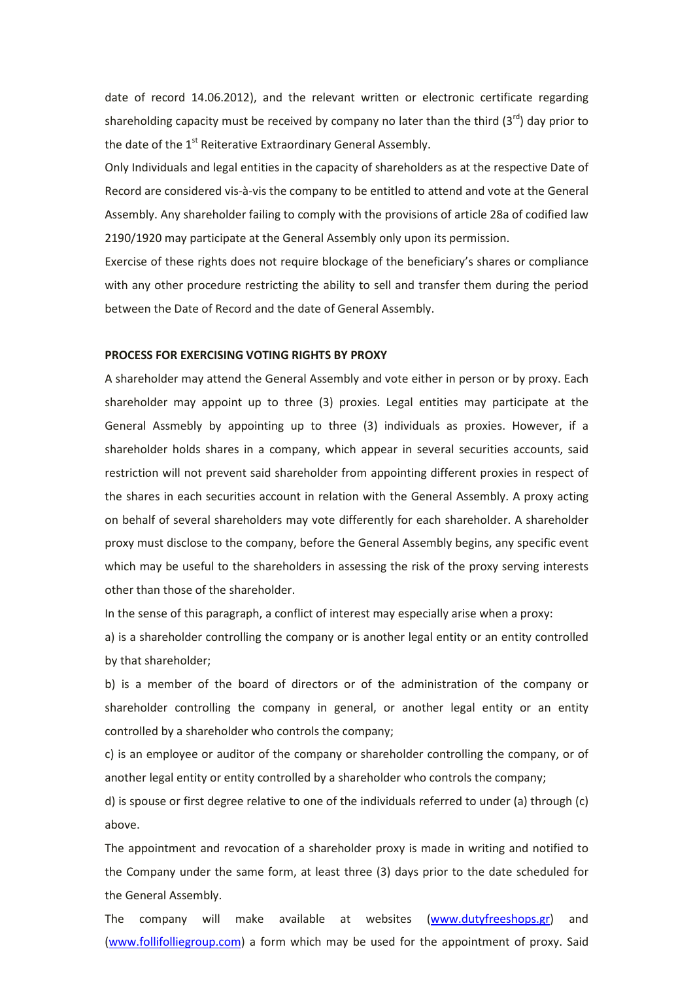date of record 14.06.2012), and the relevant written or electronic certificate regarding shareholding capacity must be received by company no later than the third  $(3^{rd})$  day prior to the date of the 1<sup>st</sup> Reiterative Extraordinary General Assembly.

Only Individuals and legal entities in the capacity of shareholders as at the respective Date of Record are considered vis-à-vis the company to be entitled to attend and vote at the General Assembly. Any shareholder failing to comply with the provisions of article 28a of codified law 2190/1920 may participate at the General Assembly only upon its permission.

Exercise of these rights does not require blockage of the beneficiary's shares or compliance with any other procedure restricting the ability to sell and transfer them during the period between the Date of Record and the date of General Assembly.

#### PROCESS FOR EXERCISING VOTING RIGHTS BY PROXY

A shareholder may attend the General Assembly and vote either in person or by proxy. Each shareholder may appoint up to three (3) proxies. Legal entities may participate at the General Assmebly by appointing up to three (3) individuals as proxies. However, if a shareholder holds shares in a company, which appear in several securities accounts, said restriction will not prevent said shareholder from appointing different proxies in respect of the shares in each securities account in relation with the General Assembly. A proxy acting on behalf of several shareholders may vote differently for each shareholder. A shareholder proxy must disclose to the company, before the General Assembly begins, any specific event which may be useful to the shareholders in assessing the risk of the proxy serving interests other than those of the shareholder.

In the sense of this paragraph, a conflict of interest may especially arise when a proxy:

a) is a shareholder controlling the company or is another legal entity or an entity controlled by that shareholder;

b) is a member of the board of directors or of the administration of the company or shareholder controlling the company in general, or another legal entity or an entity controlled by a shareholder who controls the company;

c) is an employee or auditor of the company or shareholder controlling the company, or of another legal entity or entity controlled by a shareholder who controls the company;

d) is spouse or first degree relative to one of the individuals referred to under (a) through (c) above.

The appointment and revocation of a shareholder proxy is made in writing and notified to the Company under the same form, at least three (3) days prior to the date scheduled for the General Assembly.

The company will make available at websites (www.dutyfreeshops.gr) and (www.follifolliegroup.com) a form which may be used for the appointment of proxy. Said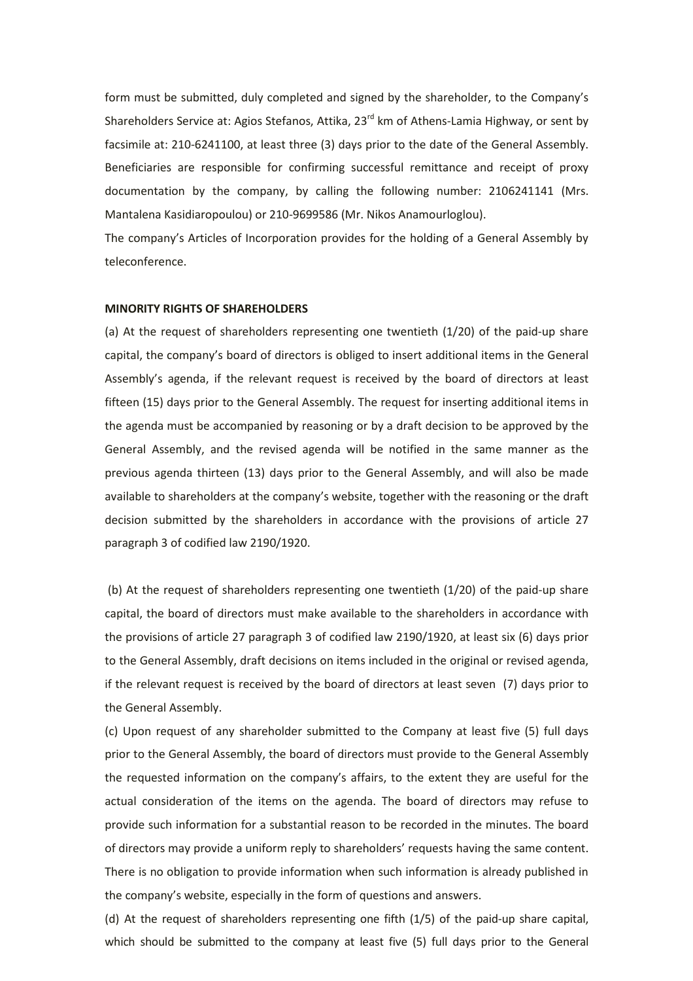form must be submitted, duly completed and signed by the shareholder, to the Company's Shareholders Service at: Agios Stefanos, Attika, 23<sup>rd</sup> km of Athens-Lamia Highway, or sent by facsimile at: 210-6241100, at least three (3) days prior to the date of the General Assembly. Beneficiaries are responsible for confirming successful remittance and receipt of proxy documentation by the company, by calling the following number: 2106241141 (Mrs. Mantalena Kasidiaropoulou) or 210-9699586 (Mr. Nikos Anamourloglou).

The company's Articles of Incorporation provides for the holding of a General Assembly by teleconference.

#### MINORITY RIGHTS OF SHAREHOLDERS

(a) At the request of shareholders representing one twentieth (1/20) of the paid-up share capital, the company's board of directors is obliged to insert additional items in the General Assembly's agenda, if the relevant request is received by the board of directors at least fifteen (15) days prior to the General Assembly. The request for inserting additional items in the agenda must be accompanied by reasoning or by a draft decision to be approved by the General Assembly, and the revised agenda will be notified in the same manner as the previous agenda thirteen (13) days prior to the General Assembly, and will also be made available to shareholders at the company's website, together with the reasoning or the draft decision submitted by the shareholders in accordance with the provisions of article 27 paragraph 3 of codified law 2190/1920.

(b) At the request of shareholders representing one twentieth (1/20) of the paid-up share capital, the board of directors must make available to the shareholders in accordance with the provisions of article 27 paragraph 3 of codified law 2190/1920, at least six (6) days prior to the General Assembly, draft decisions on items included in the original or revised agenda, if the relevant request is received by the board of directors at least seven (7) days prior to the General Assembly.

(c) Upon request of any shareholder submitted to the Company at least five (5) full days prior to the General Assembly, the board of directors must provide to the General Assembly the requested information on the company's affairs, to the extent they are useful for the actual consideration of the items on the agenda. The board of directors may refuse to provide such information for a substantial reason to be recorded in the minutes. The board of directors may provide a uniform reply to shareholders' requests having the same content. There is no obligation to provide information when such information is already published in the company's website, especially in the form of questions and answers.

(d) At the request of shareholders representing one fifth (1/5) of the paid-up share capital, which should be submitted to the company at least five (5) full days prior to the General